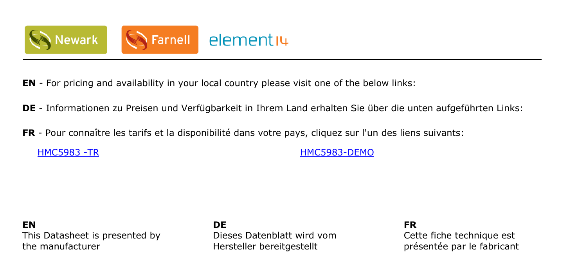

- **EN** For pricing and availability in your local country please visit one of the below links:
- **DE** Informationen zu Preisen und Verfügbarkeit in Ihrem Land erhalten Sie über die unten aufgeführten Links:
- **FR** Pour connaître les tarifs et la disponibilité dans votre pays, cliquez sur l'un des liens suivants:

[HMC5983 -TR](http://www.farnell.com/grh/?mpn=HMC5983 TR HONEYWELL MPS&CMP=os_pdf-datasheet) [HMC5983-DEMO](http://www.farnell.com/grh/?mpn=HMC5983DEMO HONEYWELL MPS&CMP=os_pdf-datasheet)

#### **EN** This Datasheet is presented by the manufacturer

**DE** Dieses Datenblatt wird vom Hersteller bereitgestellt

**FR**

Cette fiche technique est présentée par le fabricant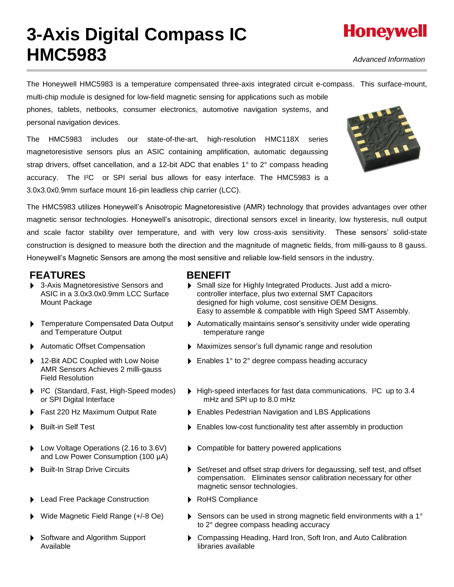# **3-Axis Digital Compass IC HMC5983**

*Advanced Information*

The Honeywell HMC5983 is a temperature compensated three-axis integrated circuit e-compass. This surface-mount,

multi-chip module is designed for low-field magnetic sensing for applications such as mobile phones, tablets, netbooks, consumer electronics, automotive navigation systems, and personal navigation devices.

The HMC5983 includes our state-of-the-art, high-resolution HMC118X series magnetoresistive sensors plus an ASIC containing amplification, automatic degaussing strap drivers, offset cancellation, and a 12-bit ADC that enables 1° to 2° compass heading accuracy. The I²C or SPI serial bus allows for easy interface. The HMC5983 is a 3.0x3.0x0.9mm surface mount 16-pin leadless chip carrier (LCC).



The HMC5983 utilizes Honeywell's Anisotropic Magnetoresistive (AMR) technology that provides advantages over other magnetic sensor technologies. Honeywell's anisotropic, directional sensors excel in linearity, low hysteresis, null output and scale factor stability over temperature, and with very low cross-axis sensitivity. These sensors' solid-state construction is designed to measure both the direction and the magnitude of magnetic fields, from milli-gauss to 8 gauss. Honeywell's Magnetic Sensors are among the most sensitive and reliable low-field sensors in the industry.

### FEATURES **BENEFIT**

- ▶ 3-Axis Magnetoresistive Sensors and ASIC in a 3.0x3.0x0.9mm LCC Surface Mount Package
- **F** Temperature Compensated Data Output and Temperature Output
- 
- 12-Bit ADC Coupled with Low Noise AMR Sensors Achieves 2 milli-gauss Field Resolution
- ▶ I<sup>2</sup>C (Standard, Fast, High-Speed modes) or SPI Digital Interface
- 
- 
- ▶ Low Voltage Operations (2.16 to 3.6V) and Low Power Consumption (100 μA)
- 
- ▶ Lead Free Package Construction ▶ RoHS Compliance
- 
- Software and Algorithm Support Available

- Small size for Highly Integrated Products. Just add a microcontroller interface, plus two external SMT Capacitors designed for high volume, cost sensitive OEM Designs. Easy to assemble & compatible with High Speed SMT Assembly.
- Automatically maintains sensor's sensitivity under wide operating temperature range
- Automatic Offset Compensation  **Maximizes sensor's full dynamic range and resolution** 
	- ▶ Enables 1° to 2° degree compass heading accuracy
	- High-speed interfaces for fast data communications. I<sup>2</sup>C up to 3.4 mHz and SPI up to 8.0 mHz
- ▶ Fast 220 Hz Maximum Output Rate ▶ Enables Pedestrian Navigation and LBS Applications
	- Built-in Self Test Enables low-cost functionality test after assembly in production
		- ▶ Compatible for battery powered applications
- Built-In Strap Drive Circuits **Subset Act Act Act Act Set**/reset and offset strap drivers for degaussing, self test, and offset compensation. Eliminates sensor calibration necessary for other magnetic sensor technologies.
	-
	- Wide Magnetic Field Range (+/-8 Oe) **IDED** Sensors can be used in strong magnetic field environments with a 1<sup>°</sup> to 2° degree compass heading accuracy
		- Compassing Heading, Hard Iron, Soft Iron, and Auto Calibration libraries available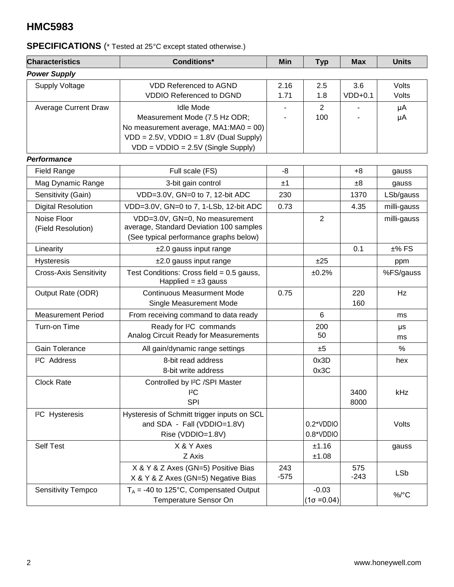### **SPECIFICATIONS** (\* Tested at 25°C except stated otherwise.)

| <b>Characteristics</b>            | <b>Conditions*</b>                                                                                                                                                                | Min           | <b>Typ</b>                    | <b>Max</b>       | <b>Units</b>   |
|-----------------------------------|-----------------------------------------------------------------------------------------------------------------------------------------------------------------------------------|---------------|-------------------------------|------------------|----------------|
| <b>Power Supply</b>               |                                                                                                                                                                                   |               |                               |                  |                |
| Supply Voltage                    | <b>VDD Referenced to AGND</b><br><b>VDDIO Referenced to DGND</b>                                                                                                                  | 2.16<br>1.71  | 2.5<br>1.8                    | 3.6<br>$VDD+0.1$ | Volts<br>Volts |
| <b>Average Current Draw</b>       | <b>Idle Mode</b><br>Measurement Mode (7.5 Hz ODR;<br>No measurement average, MA1:MA0 = 00)<br>$VDD = 2.5V$ , $VDDIO = 1.8V$ (Dual Supply)<br>$VDD = VDDIO = 2.5V$ (Single Supply) |               | $\overline{2}$<br>100         |                  | μA<br>μA       |
| <b>Performance</b>                |                                                                                                                                                                                   |               |                               |                  |                |
| <b>Field Range</b>                | Full scale (FS)                                                                                                                                                                   | -8            |                               | $+8$             | gauss          |
| Mag Dynamic Range                 | 3-bit gain control                                                                                                                                                                | ±1            |                               | $\pm 8$          | gauss          |
| Sensitivity (Gain)                | VDD=3.0V, GN=0 to 7, 12-bit ADC                                                                                                                                                   | 230           |                               | 1370             | LSb/gauss      |
| <b>Digital Resolution</b>         | VDD=3.0V, GN=0 to 7, 1-LSb, 12-bit ADC                                                                                                                                            | 0.73          |                               | 4.35             | milli-gauss    |
| Noise Floor<br>(Field Resolution) | VDD=3.0V, GN=0, No measurement<br>average, Standard Deviation 100 samples<br>(See typical performance graphs below)                                                               |               | $\overline{2}$                |                  | milli-gauss    |
| Linearity                         | $±2.0$ gauss input range                                                                                                                                                          |               |                               | 0.1              | $±%$ FS        |
| <b>Hysteresis</b>                 | $±2.0$ gauss input range                                                                                                                                                          |               | ±25                           |                  | ppm            |
| <b>Cross-Axis Sensitivity</b>     | Test Conditions: Cross field = $0.5$ gauss,<br>Happlied = $\pm 3$ gauss                                                                                                           |               | ±0.2%                         |                  | %FS/gauss      |
| Output Rate (ODR)                 | <b>Continuous Measurment Mode</b><br>Single Measurement Mode                                                                                                                      | 0.75          |                               | 220<br>160       | Hz             |
| <b>Measurement Period</b>         | From receiving command to data ready                                                                                                                                              |               | 6                             |                  | ms             |
| Turn-on Time                      | Ready for I <sup>2</sup> C commands<br>Analog Circuit Ready for Measurements                                                                                                      |               | 200<br>50                     |                  | μs<br>ms       |
| Gain Tolerance                    | All gain/dynamic range settings                                                                                                                                                   |               | ±5                            |                  | %              |
| <sup>2</sup> C Address            | 8-bit read address<br>8-bit write address                                                                                                                                         |               | 0x3D<br>0x3C                  |                  | hex            |
| <b>Clock Rate</b>                 | Controlled by I <sup>2</sup> C /SPI Master<br>${}^{12}C$<br><b>SPI</b>                                                                                                            |               |                               | 3400<br>8000     | kHz            |
| <sup>2</sup> C Hysteresis         | Hysteresis of Schmitt trigger inputs on SCL<br>and SDA - Fall (VDDIO=1.8V)<br>Rise (VDDIO=1.8V)                                                                                   |               | 0.2*VDDIO<br>0.8*VDDIO        |                  | Volts          |
| <b>Self Test</b>                  | X & Y Axes<br>Z Axis                                                                                                                                                              |               | ±1.16<br>±1.08                |                  | gauss          |
|                                   | X & Y & Z Axes (GN=5) Positive Bias<br>X & Y & Z Axes (GN=5) Negative Bias                                                                                                        | 243<br>$-575$ |                               | 575<br>$-243$    | <b>LSb</b>     |
| <b>Sensitivity Tempco</b>         | $T_A$ = -40 to 125°C, Compensated Output<br>Temperature Sensor On                                                                                                                 |               | $-0.03$<br>$(1\sigma = 0.04)$ |                  | $\%$ /°C       |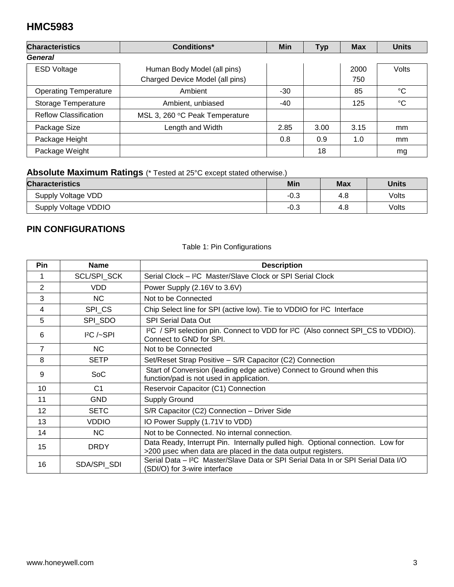| <b>Characteristics</b>       | Conditions*                     | Min   | <b>Typ</b> | <b>Max</b> | <b>Units</b> |
|------------------------------|---------------------------------|-------|------------|------------|--------------|
| General                      |                                 |       |            |            |              |
| <b>ESD Voltage</b>           | Human Body Model (all pins)     |       |            | 2000       | Volts        |
|                              | Charged Device Model (all pins) |       |            | 750        |              |
| <b>Operating Temperature</b> | Ambient                         | $-30$ |            | 85         | $^{\circ}C$  |
| Storage Temperature          | Ambient, unbiased               | -40   |            | 125        | $^{\circ}C$  |
| <b>Reflow Classification</b> | MSL 3, 260 °C Peak Temperature  |       |            |            |              |
| Package Size                 | Length and Width                | 2.85  | 3.00       | 3.15       | mm           |
| Package Height               |                                 | 0.8   | 0.9        | 1.0        | mm           |
| Package Weight               |                                 |       | 18         |            | mg           |

### **Absolute Maximum Ratings** (\* Tested at 25°C except stated otherwise.)

| <b>Characteristics</b> | Min    | <b>Max</b> | <b>Units</b> |
|------------------------|--------|------------|--------------|
| Supply Voltage VDD     | $-0.3$ | 4.8        | Volts        |
| Supply Voltage VDDIO   | $-0.3$ | 4.8        | Volts        |

### **PIN CONFIGURATIONS**

### Table 1: Pin Configurations

| Pin            | <b>Name</b>    | <b>Description</b>                                                                                                                              |
|----------------|----------------|-------------------------------------------------------------------------------------------------------------------------------------------------|
| 1              | SCL/SPI_SCK    | Serial Clock - I <sup>2</sup> C Master/Slave Clock or SPI Serial Clock                                                                          |
| $\overline{2}$ | <b>VDD</b>     | Power Supply (2.16V to 3.6V)                                                                                                                    |
| 3              | NC.            | Not to be Connected                                                                                                                             |
| 4              | SPI_CS         | Chip Select line for SPI (active low). Tie to VDDIO for I <sup>2</sup> C Interface                                                              |
| 5              | SPI SDO        | <b>SPI Serial Data Out</b>                                                                                                                      |
| 6              | $P$ C $/-$ SPI | I <sup>2</sup> C / SPI selection pin. Connect to VDD for I <sup>2</sup> C (Also connect SPI_CS to VDDIO).<br>Connect to GND for SPI.            |
| $\overline{7}$ | NC.            | Not to be Connected                                                                                                                             |
| 8              | <b>SETP</b>    | Set/Reset Strap Positive - S/R Capacitor (C2) Connection                                                                                        |
| 9              | <b>SoC</b>     | Start of Conversion (leading edge active) Connect to Ground when this<br>function/pad is not used in application.                               |
| 10             | C <sub>1</sub> | Reservoir Capacitor (C1) Connection                                                                                                             |
| 11             | <b>GND</b>     | <b>Supply Ground</b>                                                                                                                            |
| 12             | <b>SETC</b>    | S/R Capacitor (C2) Connection - Driver Side                                                                                                     |
| 13             | <b>VDDIO</b>   | IO Power Supply (1.71V to VDD)                                                                                                                  |
| 14             | NC.            | Not to be Connected. No internal connection.                                                                                                    |
| 15             | <b>DRDY</b>    | Data Ready, Interrupt Pin. Internally pulled high. Optional connection. Low for<br>>200 usec when data are placed in the data output registers. |
| 16             | SDA/SPI_SDI    | Serial Data - I <sup>2</sup> C Master/Slave Data or SPI Serial Data In or SPI Serial Data I/O<br>(SDI/O) for 3-wire interface                   |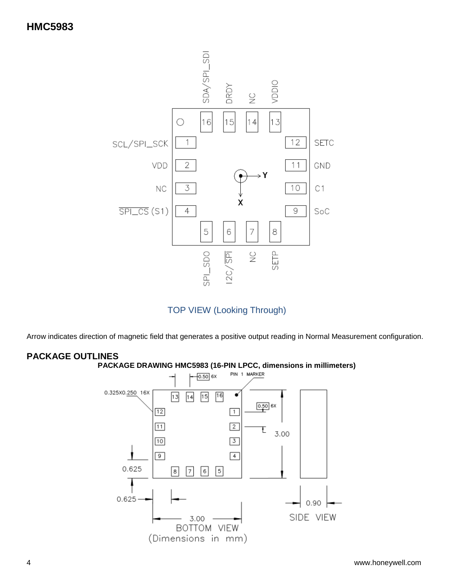



Arrow indicates direction of magnetic field that generates a positive output reading in Normal Measurement configuration.

### **PACKAGE OUTLINES**





4 www.honeywell.com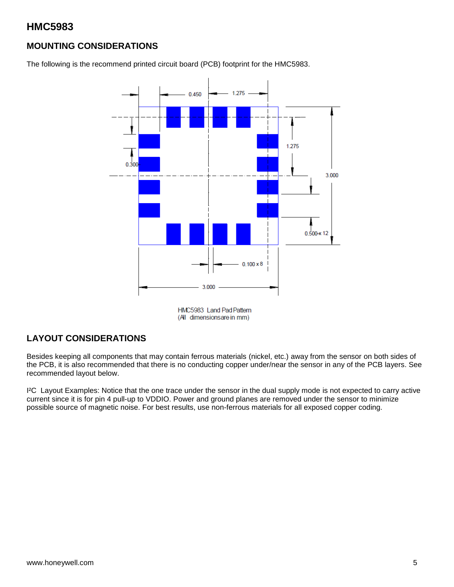### **MOUNTING CONSIDERATIONS**

The following is the recommend printed circuit board (PCB) footprint for the HMC5983.



HMC5983 Land Pad Pattern (All dimensionsare in mm)

### **LAYOUT CONSIDERATIONS**

Besides keeping all components that may contain ferrous materials (nickel, etc.) away from the sensor on both sides of the PCB, it is also recommended that there is no conducting copper under/near the sensor in any of the PCB layers. See recommended layout below.

I²C Layout Examples: Notice that the one trace under the sensor in the dual supply mode is not expected to carry active current since it is for pin 4 pull-up to VDDIO. Power and ground planes are removed under the sensor to minimize possible source of magnetic noise. For best results, use non-ferrous materials for all exposed copper coding.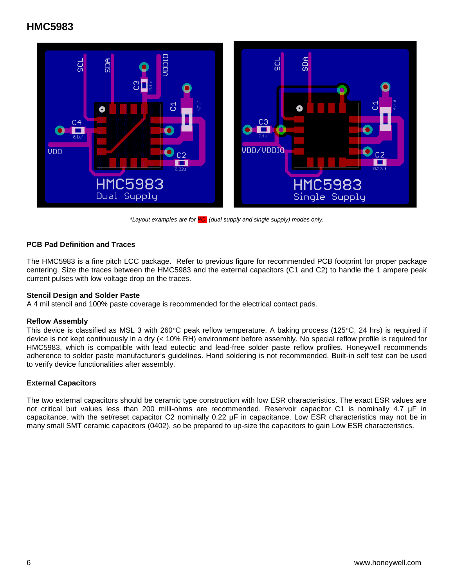

*\*Layout examples are for I²C (dual supply and single supply) modes only.*

### **PCB Pad Definition and Traces**

The HMC5983 is a fine pitch LCC package. Refer to previous figure for recommended PCB footprint for proper package centering. Size the traces between the HMC5983 and the external capacitors (C1 and C2) to handle the 1 ampere peak current pulses with low voltage drop on the traces.

#### **Stencil Design and Solder Paste**

A 4 mil stencil and 100% paste coverage is recommended for the electrical contact pads.

#### **Reflow Assembly**

This device is classified as MSL 3 with 260 $\degree$ C peak reflow temperature. A baking process (125 $\degree$ C, 24 hrs) is required if device is not kept continuously in a dry (< 10% RH) environment before assembly. No special reflow profile is required for HMC5983, which is compatible with lead eutectic and lead-free solder paste reflow profiles. Honeywell recommends adherence to solder paste manufacturer's guidelines. Hand soldering is not recommended. Built-in self test can be used to verify device functionalities after assembly.

#### **External Capacitors**

The two external capacitors should be ceramic type construction with low ESR characteristics. The exact ESR values are not critical but values less than 200 milli-ohms are recommended. Reservoir capacitor C1 is nominally 4.7 µF in capacitance, with the set/reset capacitor C2 nominally 0.22 µF in capacitance. Low ESR characteristics may not be in many small SMT ceramic capacitors (0402), so be prepared to up-size the capacitors to gain Low ESR characteristics.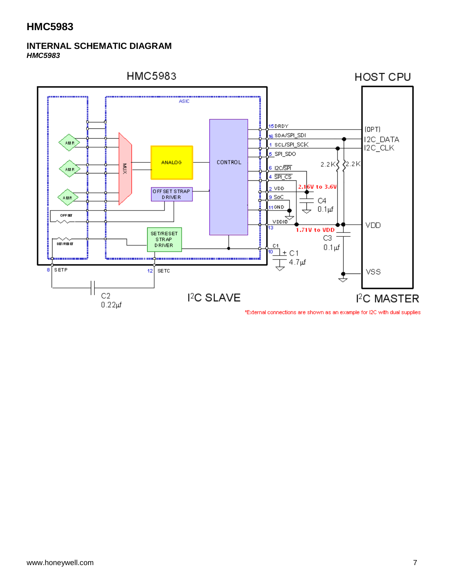#### **INTERNAL SCHEMATIC DIAGRAM** *HMC5983*

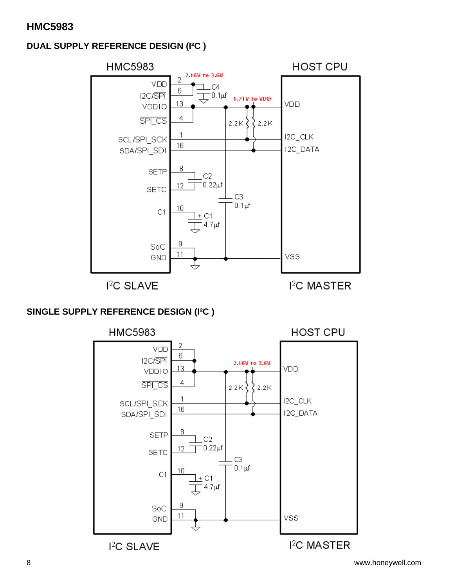### **DUAL SUPPLY REFERENCE DESIGN (I²C )**



### **SINGLE SUPPLY REFERENCE DESIGN (I²C )**

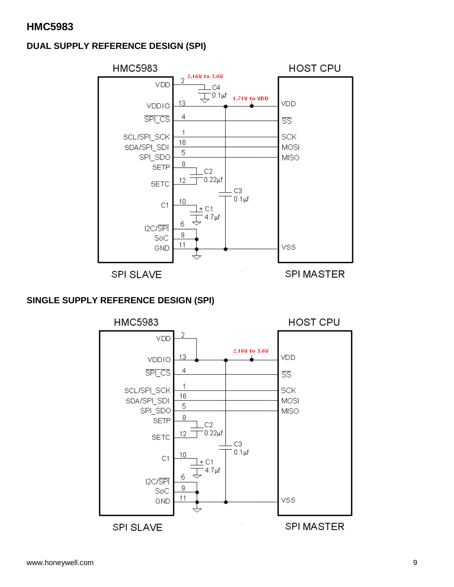### **DUAL SUPPLY REFERENCE DESIGN (SPI)**



SPI SLAVE

**SPI MASTER** 

### **SINGLE SUPPLY REFERENCE DESIGN (SPI)**

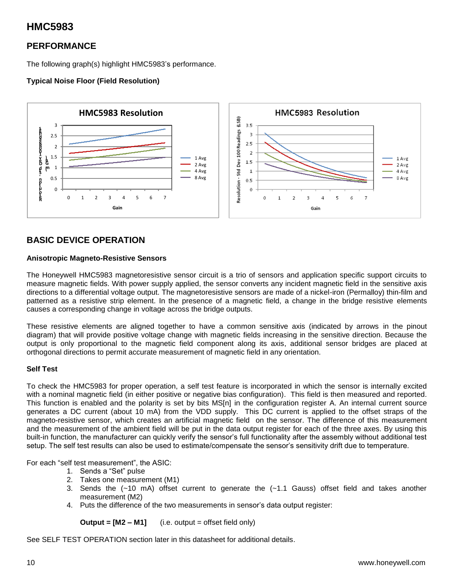### **PERFORMANCE**

The following graph(s) highlight HMC5983's performance.

#### **Typical Noise Floor (Field Resolution)**



### **BASIC DEVICE OPERATION**

#### **Anisotropic Magneto-Resistive Sensors**

The Honeywell HMC5983 magnetoresistive sensor circuit is a trio of sensors and application specific support circuits to measure magnetic fields. With power supply applied, the sensor converts any incident magnetic field in the sensitive axis directions to a differential voltage output. The magnetoresistive sensors are made of a nickel-iron (Permalloy) thin-film and patterned as a resistive strip element. In the presence of a magnetic field, a change in the bridge resistive elements causes a corresponding change in voltage across the bridge outputs.

These resistive elements are aligned together to have a common sensitive axis (indicated by arrows in the pinout diagram) that will provide positive voltage change with magnetic fields increasing in the sensitive direction. Because the output is only proportional to the magnetic field component along its axis, additional sensor bridges are placed at orthogonal directions to permit accurate measurement of magnetic field in any orientation.

#### **Self Test**

To check the HMC5983 for proper operation, a self test feature is incorporated in which the sensor is internally excited with a nominal magnetic field (in either positive or negative bias configuration). This field is then measured and reported. This function is enabled and the polarity is set by bits MS[n] in the configuration register A. An internal current source generates a DC current (about 10 mA) from the VDD supply. This DC current is applied to the offset straps of the magneto-resistive sensor, which creates an artificial magnetic field on the sensor. The difference of this measurement and the measurement of the ambient field will be put in the data output register for each of the three axes. By using this built-in function, the manufacturer can quickly verify the sensor's full functionality after the assembly without additional test setup. The self test results can also be used to estimate/compensate the sensor's sensitivity drift due to temperature.

For each "self test measurement", the ASIC:

- 1. Sends a "Set" pulse
- 2. Takes one measurement (M1)
- 3. Sends the  $(-10 \text{ mA})$  offset current to generate the  $(-1.1 \text{ Gauss})$  offset field and takes another measurement (M2)
- 4. Puts the difference of the two measurements in sensor's data output register:

**Output = [M2 – M1]** (i.e. output = offset field only)

See SELF TEST OPERATION section later in this datasheet for additional details.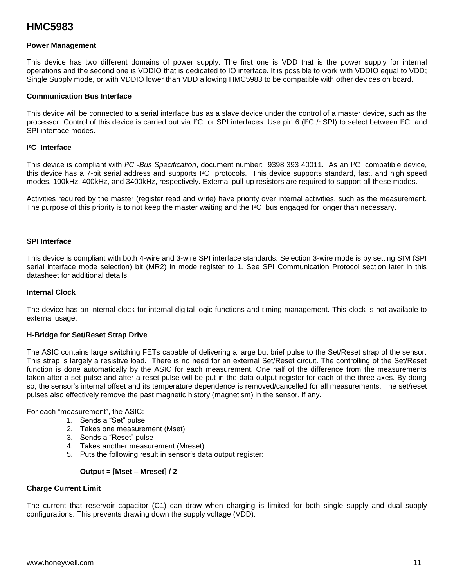#### **Power Management**

This device has two different domains of power supply. The first one is VDD that is the power supply for internal operations and the second one is VDDIO that is dedicated to IO interface. It is possible to work with VDDIO equal to VDD; Single Supply mode, or with VDDIO lower than VDD allowing HMC5983 to be compatible with other devices on board.

#### **Communication Bus Interface**

This device will be connected to a serial interface bus as a slave device under the control of a master device, such as the processor. Control of this device is carried out via I²C or SPI interfaces. Use pin 6 (I²C /~SPI) to select between I²C and SPI interface modes.

#### **I²C Interface**

This device is compliant with *I²C -Bus Specification*, document number: 9398 393 40011. As an I²C compatible device, this device has a 7-bit serial address and supports I²C protocols. This device supports standard, fast, and high speed modes, 100kHz, 400kHz, and 3400kHz, respectively. External pull-up resistors are required to support all these modes.

Activities required by the master (register read and write) have priority over internal activities, such as the measurement. The purpose of this priority is to not keep the master waiting and the I<sup>2</sup>C bus engaged for longer than necessary.

#### **SPI Interface**

This device is compliant with both 4-wire and 3-wire SPI interface standards. Selection 3-wire mode is by setting SIM (SPI serial interface mode selection) bit (MR2) in mode register to 1. See SPI Communication Protocol section later in this datasheet for additional details.

#### **Internal Clock**

The device has an internal clock for internal digital logic functions and timing management. This clock is not available to external usage.

#### **H-Bridge for Set/Reset Strap Drive**

The ASIC contains large switching FETs capable of delivering a large but brief pulse to the Set/Reset strap of the sensor. This strap is largely a resistive load. There is no need for an external Set/Reset circuit. The controlling of the Set/Reset function is done automatically by the ASIC for each measurement. One half of the difference from the measurements taken after a set pulse and after a reset pulse will be put in the data output register for each of the three axes. By doing so, the sensor's internal offset and its temperature dependence is removed/cancelled for all measurements. The set/reset pulses also effectively remove the past magnetic history (magnetism) in the sensor, if any.

For each "measurement", the ASIC:

- 1. Sends a "Set" pulse
- 2. Takes one measurement (Mset)
- 3. Sends a "Reset" pulse
- 4. Takes another measurement (Mreset)
- 5. Puts the following result in sensor's data output register:

#### **Output = [Mset – Mreset] / 2**

#### **Charge Current Limit**

The current that reservoir capacitor (C1) can draw when charging is limited for both single supply and dual supply configurations. This prevents drawing down the supply voltage (VDD).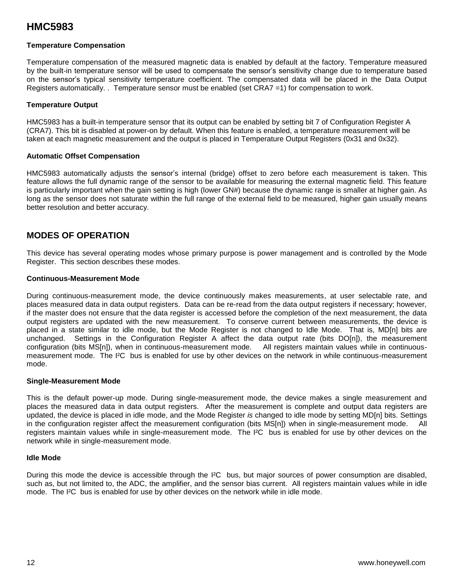#### **Temperature Compensation**

Temperature compensation of the measured magnetic data is enabled by default at the factory. Temperature measured by the built-in temperature sensor will be used to compensate the sensor's sensitivity change due to temperature based on the sensor's typical sensitivity temperature coefficient. The compensated data will be placed in the Data Output Registers automatically. . Temperature sensor must be enabled (set CRA7 =1) for compensation to work.

#### **Temperature Output**

HMC5983 has a built-in temperature sensor that its output can be enabled by setting bit 7 of Configuration Register A (CRA7). This bit is disabled at power-on by default. When this feature is enabled, a temperature measurement will be taken at each magnetic measurement and the output is placed in Temperature Output Registers (0x31 and 0x32).

#### **Automatic Offset Compensation**

HMC5983 automatically adjusts the sensor's internal (bridge) offset to zero before each measurement is taken. This feature allows the full dynamic range of the sensor to be available for measuring the external magnetic field. This feature is particularly important when the gain setting is high (lower GN#) because the dynamic range is smaller at higher gain. As long as the sensor does not saturate within the full range of the external field to be measured, higher gain usually means better resolution and better accuracy.

### **MODES OF OPERATION**

This device has several operating modes whose primary purpose is power management and is controlled by the Mode Register. This section describes these modes.

#### **Continuous-Measurement Mode**

During continuous-measurement mode, the device continuously makes measurements, at user selectable rate, and places measured data in data output registers. Data can be re-read from the data output registers if necessary; however, if the master does not ensure that the data register is accessed before the completion of the next measurement, the data output registers are updated with the new measurement. To conserve current between measurements, the device is placed in a state similar to idle mode, but the Mode Register is not changed to Idle Mode. That is, MD[n] bits are unchanged. Settings in the Configuration Register A affect the data output rate (bits DO[n]), the measurement configuration (bits MS[n]), when in continuous-measurement mode. All registers maintain values while in continuousmeasurement mode. The I²C bus is enabled for use by other devices on the network in while continuous-measurement mode.

#### **Single-Measurement Mode**

This is the default power-up mode. During single-measurement mode, the device makes a single measurement and places the measured data in data output registers. After the measurement is complete and output data registers are updated, the device is placed in idle mode, and the Mode Register *is* changed to idle mode by setting MD[n] bits. Settings in the configuration register affect the measurement configuration (bits MS[n]) when in single-measurement mode. All registers maintain values while in single-measurement mode. The I²C bus is enabled for use by other devices on the network while in single-measurement mode.

#### **Idle Mode**

During this mode the device is accessible through the I<sup>2</sup>C bus, but major sources of power consumption are disabled, such as, but not limited to, the ADC, the amplifier, and the sensor bias current. All registers maintain values while in idle mode. The I²C bus is enabled for use by other devices on the network while in idle mode.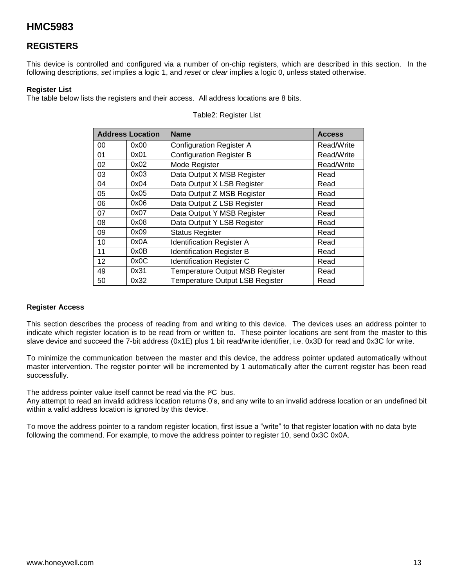### **REGISTERS**

This device is controlled and configured via a number of on-chip registers, which are described in this section. In the following descriptions, *set* implies a logic 1, and *reset* or *clear* implies a logic 0, unless stated otherwise.

#### **Register List**

The table below lists the registers and their access. All address locations are 8 bits.

| <b>Address Location</b> |      | <b>Name</b>                            | <b>Access</b> |
|-------------------------|------|----------------------------------------|---------------|
| 00                      | 0x00 | <b>Configuration Register A</b>        | Read/Write    |
| 01                      | 0x01 | <b>Configuration Register B</b>        | Read/Write    |
| 02                      | 0x02 | Mode Register                          | Read/Write    |
| 03                      | 0x03 | Data Output X MSB Register             | Read          |
| 04                      | 0x04 | Data Output X LSB Register             | Read          |
| 05                      | 0x05 | Data Output Z MSB Register             | Read          |
| 06                      | 0x06 | Data Output Z LSB Register             | Read          |
| 07                      | 0x07 | Data Output Y MSB Register             | Read          |
| 08                      | 0x08 | Data Output Y LSB Register             | Read          |
| 09                      | 0x09 | <b>Status Register</b>                 | Read          |
| 10                      | 0x0A | <b>Identification Register A</b>       | Read          |
| 11                      | 0x0B | <b>Identification Register B</b>       | Read          |
| 12                      | 0x0C | <b>Identification Register C</b>       | Read          |
| 49                      | 0x31 | <b>Temperature Output MSB Register</b> | Read          |
| 50                      | 0x32 | <b>Temperature Output LSB Register</b> | Read          |

#### Table2: Register List

#### **Register Access**

This section describes the process of reading from and writing to this device. The devices uses an address pointer to indicate which register location is to be read from or written to. These pointer locations are sent from the master to this slave device and succeed the 7-bit address (0x1E) plus 1 bit read/write identifier, i.e. 0x3D for read and 0x3C for write.

To minimize the communication between the master and this device, the address pointer updated automatically without master intervention. The register pointer will be incremented by 1 automatically after the current register has been read successfully.

The address pointer value itself cannot be read via the I²C bus.

Any attempt to read an invalid address location returns 0's, and any write to an invalid address location or an undefined bit within a valid address location is ignored by this device.

To move the address pointer to a random register location, first issue a "write" to that register location with no data byte following the commend. For example, to move the address pointer to register 10, send 0x3C 0x0A.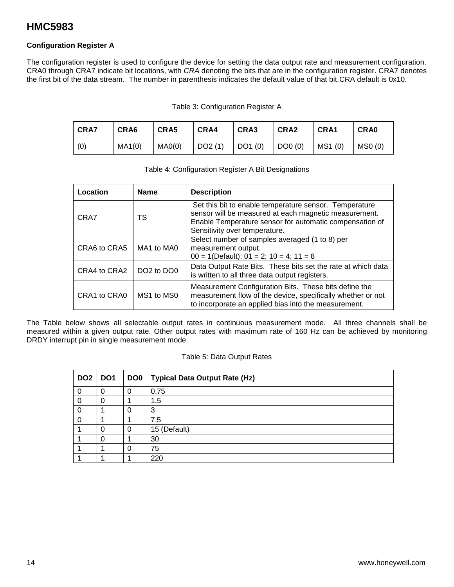#### **Configuration Register A**

The configuration register is used to configure the device for setting the data output rate and measurement configuration. CRA0 through CRA7 indicate bit locations, with *CRA* denoting the bits that are in the configuration register. CRA7 denotes the first bit of the data stream. The number in parenthesis indicates the default value of that bit.CRA default is 0x10.

#### Table 3: Configuration Register A

| <b>CRA7</b> | CRA6   | CRA5   | CRA4   | CRA3              | CRA <sub>2</sub> | CRA1    | <b>CRA0</b> |
|-------------|--------|--------|--------|-------------------|------------------|---------|-------------|
| (0)         | MA1(0) | MAO(0) | DO2(1) | $\vert$ DO1 $(0)$ | DOO(0)           | MS1 (0) | MSO(0)      |

#### Table 4: Configuration Register A Bit Designations

| Location     | <b>Name</b>                        | <b>Description</b>                                                                                                                                                                                          |
|--------------|------------------------------------|-------------------------------------------------------------------------------------------------------------------------------------------------------------------------------------------------------------|
| CRA7         | тs                                 | Set this bit to enable temperature sensor. Temperature<br>sensor will be measured at each magnetic measurement.<br>Enable Temperature sensor for automatic compensation of<br>Sensitivity over temperature. |
| CRA6 to CRA5 | MA1 to MA0                         | Select number of samples averaged (1 to 8) per<br>measurement output.<br>$00 = 1$ (Default); $01 = 2$ ; $10 = 4$ ; $11 = 8$                                                                                 |
| CRA4 to CRA2 | DO <sub>2</sub> to DO <sub>0</sub> | Data Output Rate Bits. These bits set the rate at which data<br>is written to all three data output registers.                                                                                              |
| CRA1 to CRA0 | MS1 to MS0                         | Measurement Configuration Bits. These bits define the<br>measurement flow of the device, specifically whether or not<br>to incorporate an applied bias into the measurement.                                |

The Table below shows all selectable output rates in continuous measurement mode. All three channels shall be measured within a given output rate. Other output rates with maximum rate of 160 Hz can be achieved by monitoring DRDY interrupt pin in single measurement mode.

#### Table 5: Data Output Rates

| DO <sub>2</sub> | DO <sub>1</sub> |   | DO0   Typical Data Output Rate (Hz) |
|-----------------|-----------------|---|-------------------------------------|
|                 | $\mathbf{0}$    | O | 0.75                                |
|                 | 0               |   | 1.5                                 |
|                 |                 | Ü | 3                                   |
|                 |                 |   | 7.5                                 |
|                 | O               | 0 | 15 (Default)                        |
|                 | O               |   | 30                                  |
|                 |                 | O | 75                                  |
|                 |                 |   | 220                                 |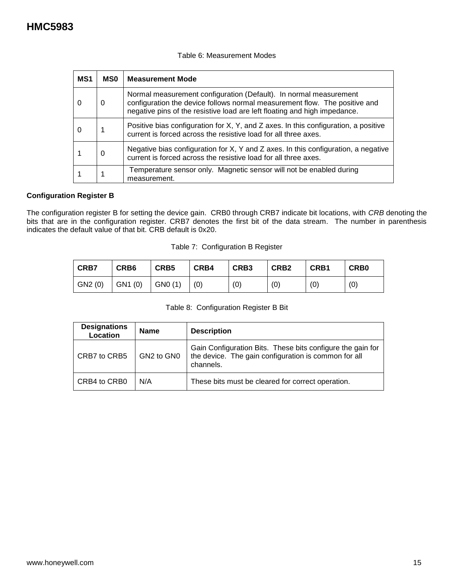#### Table 6: Measurement Modes

| MS <sub>1</sub> | <b>MSO</b> | <b>Measurement Mode</b>                                                                                                                                                                                                      |
|-----------------|------------|------------------------------------------------------------------------------------------------------------------------------------------------------------------------------------------------------------------------------|
| O               | 0          | Normal measurement configuration (Default). In normal measurement<br>configuration the device follows normal measurement flow. The positive and<br>negative pins of the resistive load are left floating and high impedance. |
|                 |            | Positive bias configuration for X, Y, and Z axes. In this configuration, a positive<br>current is forced across the resistive load for all three axes.                                                                       |
|                 | 0          | Negative bias configuration for X, Y and Z axes. In this configuration, a negative<br>current is forced across the resistive load for all three axes.                                                                        |
|                 |            | Temperature sensor only. Magnetic sensor will not be enabled during<br>measurement.                                                                                                                                          |

#### **Configuration Register B**

The configuration register B for setting the device gain. CRB0 through CRB7 indicate bit locations, with *CRB* denoting the bits that are in the configuration register. CRB7 denotes the first bit of the data stream. The number in parenthesis indicates the default value of that bit. CRB default is 0x20.

| Table 7: Configuration B Register |  |
|-----------------------------------|--|
|                                   |  |

| <b>CRB7</b> | CRB <sub>6</sub> | CRB5    | CRB4 | CRB3 | CRB <sub>2</sub> | CRB <sub>1</sub> | CRB <sub>0</sub> |
|-------------|------------------|---------|------|------|------------------|------------------|------------------|
| GN2 (0)     | GN1(0)           | GN0 (1) | (0)  | (0)  | (0)              | (0)              | (0)              |

| Table 8: Configuration Register B Bit |  |
|---------------------------------------|--|
|                                       |  |

| <b>Designations</b><br>Location | <b>Name</b> | <b>Description</b>                                                                                                              |
|---------------------------------|-------------|---------------------------------------------------------------------------------------------------------------------------------|
| CRB7 to CRB5                    | GN2 to GN0  | Gain Configuration Bits. These bits configure the gain for<br>the device. The gain configuration is common for all<br>channels. |
| CRB4 to CRB0                    | N/A         | These bits must be cleared for correct operation.                                                                               |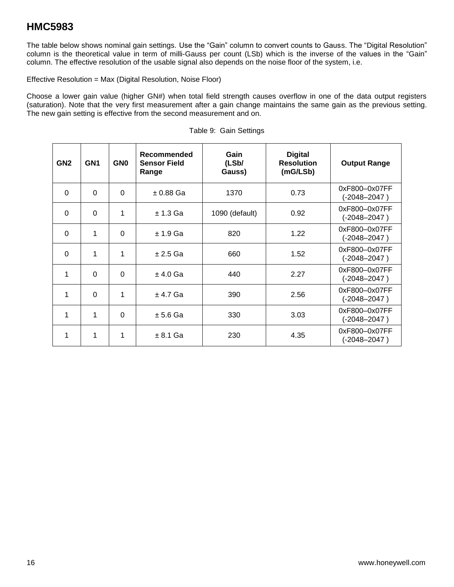The table below shows nominal gain settings. Use the "Gain" column to convert counts to Gauss. The "Digital Resolution" column is the theoretical value in term of milli-Gauss per count (LSb) which is the inverse of the values in the "Gain" column. The effective resolution of the usable signal also depends on the noise floor of the system, i.e.

Effective Resolution = Max (Digital Resolution, Noise Floor)

Choose a lower gain value (higher GN#) when total field strength causes overflow in one of the data output registers (saturation). Note that the very first measurement after a gain change maintains the same gain as the previous setting. The new gain setting is effective from the second measurement and on.

| GN <sub>2</sub> | GN <sub>1</sub> | GN <sub>0</sub> | Recommended<br><b>Sensor Field</b><br>Range | Gain<br>(LSb/<br>Gauss) | <b>Digital</b><br><b>Resolution</b><br>(mG/LSb) | <b>Output Range</b>               |
|-----------------|-----------------|-----------------|---------------------------------------------|-------------------------|-------------------------------------------------|-----------------------------------|
| $\Omega$        | $\Omega$        | $\Omega$        | $± 0.88$ Ga                                 | 1370                    | 0.73                                            | 0xF800-0x07FF<br>$(-2048 - 2047)$ |
| $\Omega$        | $\Omega$        | 1               | $± 1.3$ Ga                                  | 1090 (default)          | 0.92                                            | 0xF800-0x07FF<br>$(-2048 - 2047)$ |
| $\Omega$        | 1               | $\Omega$        | $± 1.9$ Ga                                  | 820                     | 1.22                                            | 0xF800-0x07FF<br>$(-2048 - 2047)$ |
| $\Omega$        | 1               | 1               | $± 2.5$ Ga                                  | 660                     | 1.52                                            | 0xF800-0x07FF<br>$(-2048 - 2047)$ |
| 1               | $\Omega$        | $\Omega$        | $± 4.0$ Ga                                  | 440                     | 2.27                                            | 0xF800-0x07FF<br>$(-2048 - 2047)$ |
| 1               | $\Omega$        | 1               | $± 4.7$ Ga                                  | 390                     | 2.56                                            | 0xF800-0x07FF<br>$(-2048 - 2047)$ |
| 1               | 1               | $\Omega$        | $± 5.6$ Ga                                  | 330                     | 3.03                                            | 0xF800-0x07FF<br>$(-2048 - 2047)$ |
| 1               | 1               | 1               | $± 8.1$ Ga                                  | 230                     | 4.35                                            | 0xF800-0x07FF<br>(-2048–2047)     |

|  | Table 9: Gain Settings |
|--|------------------------|
|  |                        |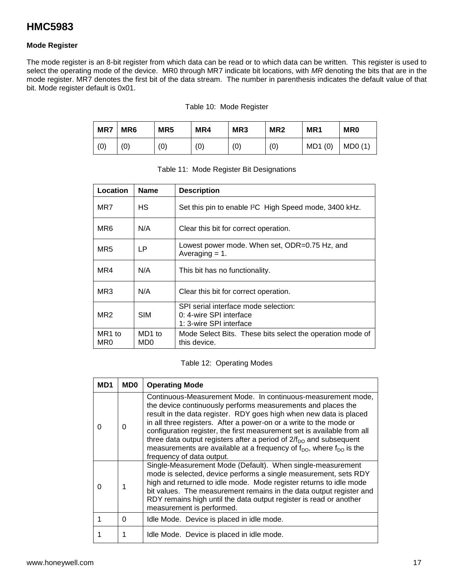#### **Mode Register**

The mode register is an 8-bit register from which data can be read or to which data can be written. This register is used to select the operating mode of the device. MR0 through MR7 indicate bit locations, with *MR* denoting the bits that are in the mode register. MR7 denotes the first bit of the data stream. The number in parenthesis indicates the default value of that bit. Mode register default is 0x01.

#### Table 10: Mode Register

| MR7 | MR <sub>6</sub> | MR <sub>5</sub> | MR4 | MR <sub>3</sub> | MR <sub>2</sub> | MR <sub>1</sub> | <b>MR0</b> |
|-----|-----------------|-----------------|-----|-----------------|-----------------|-----------------|------------|
| (0) | (0)             | (0)             | (0) | (0)             | (0)             | MD1(0)          | MDO(1)     |

| Location        | <b>Name</b>   | <b>Description</b>                                                                         |
|-----------------|---------------|--------------------------------------------------------------------------------------------|
| MR7             | <b>HS</b>     | Set this pin to enable I <sup>2</sup> C High Speed mode, 3400 kHz.                         |
| MR6             | N/A           | Clear this bit for correct operation.                                                      |
| MR5             | LP.           | Lowest power mode. When set, ODR=0.75 Hz, and<br>Averaging $= 1$ .                         |
| MR4             | N/A           | This bit has no functionality.                                                             |
| MR3             | N/A           | Clear this bit for correct operation.                                                      |
| MR <sub>2</sub> | <b>SIM</b>    | SPI serial interface mode selection:<br>0: 4-wire SPI interface<br>1: 3-wire SPI interface |
| MR1 to<br>MR0   | MD1 to<br>MD0 | Mode Select Bits. These bits select the operation mode of<br>this device.                  |

|  | Table 11: Mode Register Bit Designations |  |
|--|------------------------------------------|--|
|  |                                          |  |

#### Table 12: Operating Modes

| MD1 | MD0 | <b>Operating Mode</b>                                                                                                                                                                                                                                                                                                                                                                                                                                                                                                                                             |
|-----|-----|-------------------------------------------------------------------------------------------------------------------------------------------------------------------------------------------------------------------------------------------------------------------------------------------------------------------------------------------------------------------------------------------------------------------------------------------------------------------------------------------------------------------------------------------------------------------|
| 0   | 0   | Continuous-Measurement Mode. In continuous-measurement mode,<br>the device continuously performs measurements and places the<br>result in the data register. RDY goes high when new data is placed<br>in all three registers. After a power-on or a write to the mode or<br>configuration register, the first measurement set is available from all<br>three data output registers after a period of $2/f_{\text{DO}}$ and subsequent<br>measurements are available at a frequency of $f_{\text{DO}}$ , where $f_{\text{DO}}$ is the<br>frequency of data output. |
| ∩   |     | Single-Measurement Mode (Default). When single-measurement<br>mode is selected, device performs a single measurement, sets RDY<br>high and returned to idle mode. Mode register returns to idle mode<br>bit values. The measurement remains in the data output register and<br>RDY remains high until the data output register is read or another<br>measurement is performed.                                                                                                                                                                                    |
|     | 0   | Idle Mode. Device is placed in idle mode.                                                                                                                                                                                                                                                                                                                                                                                                                                                                                                                         |
|     |     | Idle Mode. Device is placed in idle mode.                                                                                                                                                                                                                                                                                                                                                                                                                                                                                                                         |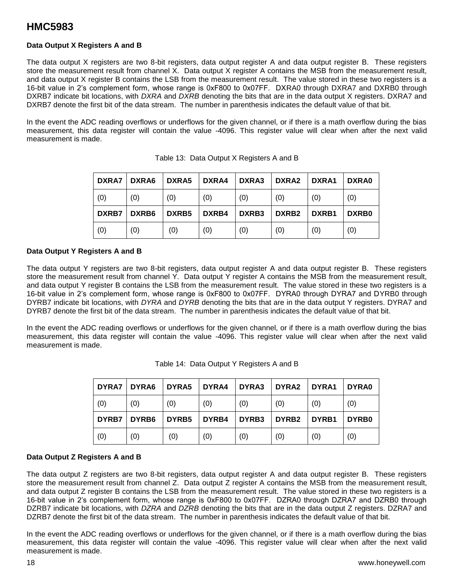#### **Data Output X Registers A and B**

The data output X registers are two 8-bit registers, data output register A and data output register B. These registers store the measurement result from channel X. Data output X register A contains the MSB from the measurement result, and data output X register B contains the LSB from the measurement result. The value stored in these two registers is a 16-bit value in 2's complement form, whose range is 0xF800 to 0x07FF. DXRA0 through DXRA7 and DXRB0 through DXRB7 indicate bit locations, with *DXRA* and *DXRB* denoting the bits that are in the data output X registers. DXRA7 and DXRB7 denote the first bit of the data stream. The number in parenthesis indicates the default value of that bit.

In the event the ADC reading overflows or underflows for the given channel, or if there is a math overflow during the bias measurement, this data register will contain the value -4096. This register value will clear when after the next valid measurement is made.

| <b>DXRA7</b> | DXRA6 | DXRA5 | DXRA4 | <b>DXRA3</b> | DXRA2 | DXRA1 | DXRA0        |
|--------------|-------|-------|-------|--------------|-------|-------|--------------|
| (0)          | (0)   | (0)   | (0)   | (0)          | (0)   | (0)   | (0)          |
| <b>DXRB7</b> | DXRB6 | DXRB5 | DXRB4 | DXRB3        | DXRB2 | DXRB1 | <b>DXRB0</b> |
| (0)          | (0)   | (0)   | (0)   | (0)          | (0)   | (0)   | (0)          |

| Table 13: Data Output X Registers A and B |  |  |  |  |  |  |
|-------------------------------------------|--|--|--|--|--|--|
|-------------------------------------------|--|--|--|--|--|--|

#### **Data Output Y Registers A and B**

The data output Y registers are two 8-bit registers, data output register A and data output register B. These registers store the measurement result from channel Y. Data output Y register A contains the MSB from the measurement result, and data output Y register B contains the LSB from the measurement result. The value stored in these two registers is a 16-bit value in 2's complement form, whose range is 0xF800 to 0x07FF. DYRA0 through DYRA7 and DYRB0 through DYRB7 indicate bit locations, with *DYRA* and *DYRB* denoting the bits that are in the data output Y registers. DYRA7 and DYRB7 denote the first bit of the data stream. The number in parenthesis indicates the default value of that bit.

In the event the ADC reading overflows or underflows for the given channel, or if there is a math overflow during the bias measurement, this data register will contain the value -4096. This register value will clear when after the next valid measurement is made.

| <b>DYRA7</b> | DYRA6        | DYRA5 | DYRA4 | DYRA3        | DYRA2 | DYRA1 | DYRA0        |
|--------------|--------------|-------|-------|--------------|-------|-------|--------------|
| (0)          | (0)          | (0)   | (0)   | (0)          | (0)   | (0)   | (0)          |
| <b>DYRB7</b> | <b>DYRB6</b> | DYRB5 | DYRB4 | <b>DYRB3</b> | DYRB2 | DYRB1 | <b>DYRB0</b> |
| (0)          | (0)          | (0)   | (0)   | (0)          | (0)   | (0)   | (0)          |

| Table 14: Data Output Y Registers A and B |  |  |  |  |  |  |
|-------------------------------------------|--|--|--|--|--|--|
|-------------------------------------------|--|--|--|--|--|--|

#### **Data Output Z Registers A and B**

The data output Z registers are two 8-bit registers, data output register A and data output register B. These registers store the measurement result from channel Z. Data output Z register A contains the MSB from the measurement result, and data output Z register B contains the LSB from the measurement result. The value stored in these two registers is a 16-bit value in 2's complement form, whose range is 0xF800 to 0x07FF. DZRA0 through DZRA7 and DZRB0 through DZRB7 indicate bit locations, with *DZRA* and *DZRB* denoting the bits that are in the data output Z registers. DZRA7 and DZRB7 denote the first bit of the data stream. The number in parenthesis indicates the default value of that bit.

In the event the ADC reading overflows or underflows for the given channel, or if there is a math overflow during the bias measurement, this data register will contain the value -4096. This register value will clear when after the next valid measurement is made.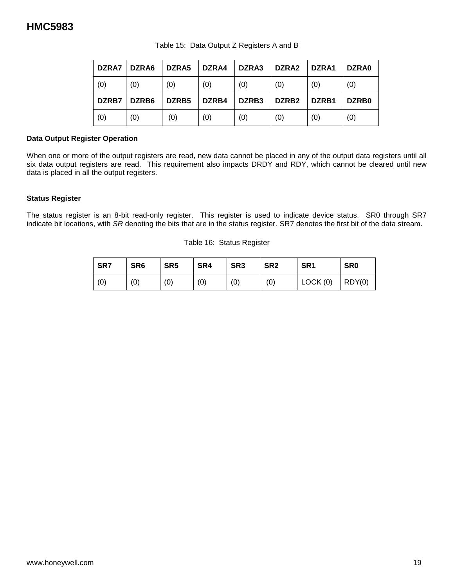| DZRA7 | DZRA6 | DZRA5             | DZRA4 | DZRA3 | DZRA2             | DZRA1 | DZRA0 |
|-------|-------|-------------------|-------|-------|-------------------|-------|-------|
| (0)   | (0)   | (0)               | (0)   | (0)   | (0)               | (0)   | (0)   |
| DZRB7 | DZRB6 | DZRB <sub>5</sub> | DZRB4 | DZRB3 | DZRB <sub>2</sub> | DZRB1 | DZRB0 |
| (0)   | (0)   | (0)               | (0)   | (0)   | (0)               | (0)   | (0)   |

Table 15: Data Output Z Registers A and B

#### **Data Output Register Operation**

When one or more of the output registers are read, new data cannot be placed in any of the output data registers until all six data output registers are read. This requirement also impacts DRDY and RDY, which cannot be cleared until new data is placed in all the output registers.

#### **Status Register**

The status register is an 8-bit read-only register. This register is used to indicate device status. SR0 through SR7 indicate bit locations, with *SR* denoting the bits that are in the status register. SR7 denotes the first bit of the data stream.

Table 16: Status Register

| SR7 | SR <sub>6</sub> | SR <sub>5</sub> | SR4 | SR <sub>3</sub> | SR <sub>2</sub> | SR <sub>1</sub> | SR <sub>0</sub> |
|-----|-----------------|-----------------|-----|-----------------|-----------------|-----------------|-----------------|
| (0) | (0)             | (0)             | (0) | (0)             | (0)             | LOCK(0)         | ROY(0)          |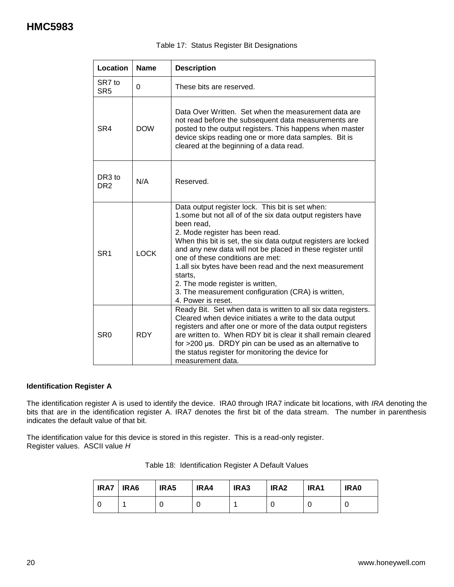| Location                              | <b>Name</b> | <b>Description</b>                                                                                                                                                                                                                                                                                                                                                                                                                                                                                                          |
|---------------------------------------|-------------|-----------------------------------------------------------------------------------------------------------------------------------------------------------------------------------------------------------------------------------------------------------------------------------------------------------------------------------------------------------------------------------------------------------------------------------------------------------------------------------------------------------------------------|
| SR7 to<br>SR <sub>5</sub>             | $\Omega$    | These bits are reserved.                                                                                                                                                                                                                                                                                                                                                                                                                                                                                                    |
| SR4                                   | <b>DOW</b>  | Data Over Written. Set when the measurement data are<br>not read before the subsequent data measurements are<br>posted to the output registers. This happens when master<br>device skips reading one or more data samples. Bit is<br>cleared at the beginning of a data read.                                                                                                                                                                                                                                               |
| DR <sub>3</sub> to<br>DR <sub>2</sub> | N/A         | Reserved.                                                                                                                                                                                                                                                                                                                                                                                                                                                                                                                   |
| SR <sub>1</sub>                       | <b>LOCK</b> | Data output register lock. This bit is set when:<br>1.some but not all of of the six data output registers have<br>been read.<br>2. Mode register has been read.<br>When this bit is set, the six data output registers are locked<br>and any new data will not be placed in these register until<br>one of these conditions are met:<br>1.all six bytes have been read and the next measurement<br>starts,<br>2. The mode register is written,<br>3. The measurement configuration (CRA) is written,<br>4. Power is reset. |
| SR <sub>0</sub>                       | <b>RDY</b>  | Ready Bit. Set when data is written to all six data registers.<br>Cleared when device initiates a write to the data output<br>registers and after one or more of the data output registers<br>are written to. When RDY bit is clear it shall remain cleared<br>for $>200$ µs. DRDY pin can be used as an alternative to<br>the status register for monitoring the device for<br>measurement data.                                                                                                                           |

#### Table 17: Status Register Bit Designations

#### **Identification Register A**

The identification register A is used to identify the device. IRA0 through IRA7 indicate bit locations, with *IRA* denoting the bits that are in the identification register A. IRA7 denotes the first bit of the data stream. The number in parenthesis indicates the default value of that bit.

The identification value for this device is stored in this register. This is a read-only register. Register values. ASCII value *H*

| <b>IRA7   IRA6</b> | IRA5 | IRA4 | IRA3 | IRA <sub>2</sub> | IRA1 | IRA0 |
|--------------------|------|------|------|------------------|------|------|
|                    |      |      |      |                  |      |      |

|  | Table 18: Identification Register A Default Values |  |  |  |
|--|----------------------------------------------------|--|--|--|
|--|----------------------------------------------------|--|--|--|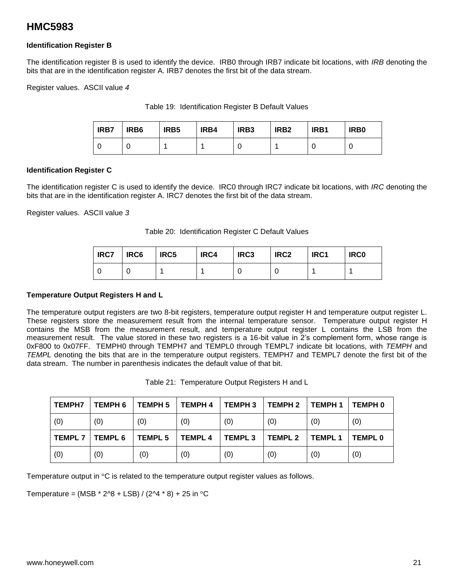#### **Identification Register B**

The identification register B is used to identify the device. IRB0 through IRB7 indicate bit locations, with *IRB* denoting the bits that are in the identification register A. IRB7 denotes the first bit of the data stream.

Register values. ASCII value *4*

|  | Table 19: Identification Register B Default Values |  |  |  |
|--|----------------------------------------------------|--|--|--|
|--|----------------------------------------------------|--|--|--|

| <b>IRB7</b> | IRB <sub>6</sub> | IRB <sub>5</sub> | IRB4 | IRB <sub>3</sub> | IRB <sub>2</sub> | IRB1 | IRB <sub>0</sub> |
|-------------|------------------|------------------|------|------------------|------------------|------|------------------|
|             |                  |                  |      |                  |                  |      |                  |

#### **Identification Register C**

The identification register C is used to identify the device. IRC0 through IRC7 indicate bit locations, with *IRC* denoting the bits that are in the identification register A. IRC7 denotes the first bit of the data stream.

Register values. ASCII value *3*

Table 20: Identification Register C Default Values

| <b>IRC7</b> | IRC6 | IRC5 | IRC4 | IRC <sub>3</sub> | IRC <sub>2</sub> | IRC1 | <b>IRC0</b> |
|-------------|------|------|------|------------------|------------------|------|-------------|
|             |      |      |      |                  |                  |      |             |

#### **Temperature Output Registers H and L**

The temperature output registers are two 8-bit registers, temperature output register H and temperature output register L. These registers store the measurement result from the internal temperature sensor. Temperature output register H contains the MSB from the measurement result, and temperature output register L contains the LSB from the measurement result. The value stored in these two registers is a 16-bit value in 2's complement form, whose range is 0xF800 to 0x07FF. TEMPH0 through TEMPH7 and TEMPL0 through TEMPL7 indicate bit locations, with *TEMPH* and *TEMPL* denoting the bits that are in the temperature output registers. TEMPH7 and TEMPL7 denote the first bit of the data stream. The number in parenthesis indicates the default value of that bit.

Table 21: Temperature Output Registers H and L

| <b>TEMPH7</b> | <b>TEMPH 6</b> | <b>TEMPH 5</b> | <b>TEMPH 4</b> | <b>TEMPH 3</b> | <b>TEMPH 2</b> | <b>TEMPH1</b> | TEMPH 0        |
|---------------|----------------|----------------|----------------|----------------|----------------|---------------|----------------|
| (0)           | (0)            | (0)            | (0)            | (0)            | (0)            | (0)           | (0)            |
| <b>TEMPL7</b> | <b>TEMPL 6</b> | <b>TEMPL 5</b> | <b>TEMPL4</b>  | <b>TEMPL3</b>  | <b>TEMPL 2</b> | <b>TEMPL1</b> | <b>TEMPL 0</b> |
| (0)           | (0)            | (0)            | (0)            | (0)            | (0)            | (0)           | (0)            |

Temperature output in  $\mathrm{^{\circ}C}$  is related to the temperature output register values as follows.

Temperature = (MSB  $*$  2^8 + LSB) / (2^4  $*$  8) + 25 in  $°C$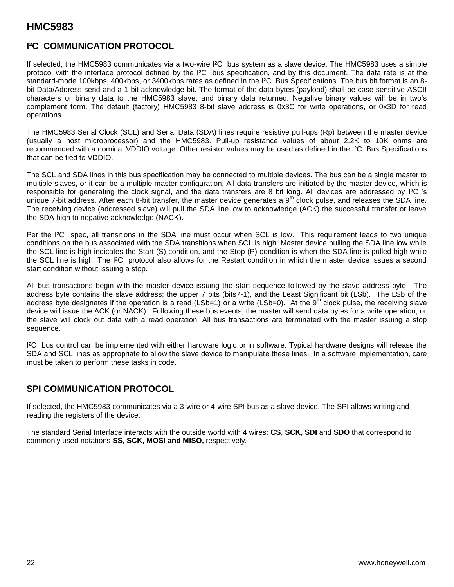### **I²C COMMUNICATION PROTOCOL**

If selected, the HMC5983 communicates via a two-wire I²C bus system as a slave device. The HMC5983 uses a simple protocol with the interface protocol defined by the I²C bus specification, and by this document. The data rate is at the standard-mode 100kbps, 400kbps, or 3400kbps rates as defined in the I²C Bus Specifications. The bus bit format is an 8 bit Data/Address send and a 1-bit acknowledge bit. The format of the data bytes (payload) shall be case sensitive ASCII characters or binary data to the HMC5983 slave, and binary data returned. Negative binary values will be in two's complement form. The default (factory) HMC5983 8-bit slave address is 0x3C for write operations, or 0x3D for read operations.

The HMC5983 Serial Clock (SCL) and Serial Data (SDA) lines require resistive pull-ups (Rp) between the master device (usually a host microprocessor) and the HMC5983. Pull-up resistance values of about 2.2K to 10K ohms are recommended with a nominal VDDIO voltage. Other resistor values may be used as defined in the I²C Bus Specifications that can be tied to VDDIO.

The SCL and SDA lines in this bus specification may be connected to multiple devices. The bus can be a single master to multiple slaves, or it can be a multiple master configuration. All data transfers are initiated by the master device, which is responsible for generating the clock signal, and the data transfers are 8 bit long. All devices are addressed by I²C 's unique 7-bit address. After each 8-bit transfer, the master device generates a  $9<sup>th</sup>$  clock pulse, and releases the SDA line. The receiving device (addressed slave) will pull the SDA line low to acknowledge (ACK) the successful transfer or leave the SDA high to negative acknowledge (NACK).

Per the I²C spec, all transitions in the SDA line must occur when SCL is low. This requirement leads to two unique conditions on the bus associated with the SDA transitions when SCL is high. Master device pulling the SDA line low while the SCL line is high indicates the Start (S) condition, and the Stop (P) condition is when the SDA line is pulled high while the SCL line is high. The I²C protocol also allows for the Restart condition in which the master device issues a second start condition without issuing a stop.

All bus transactions begin with the master device issuing the start sequence followed by the slave address byte. The address byte contains the slave address; the upper 7 bits (bits7-1), and the Least Significant bit (LSb). The LSb of the address byte designates if the operation is a read (LSb=1) or a write (LSb=0). At the  $9<sup>th</sup>$  clock pulse, the receiving slave device will issue the ACK (or NACK). Following these bus events, the master will send data bytes for a write operation, or the slave will clock out data with a read operation. All bus transactions are terminated with the master issuing a stop sequence.

I²C bus control can be implemented with either hardware logic or in software. Typical hardware designs will release the SDA and SCL lines as appropriate to allow the slave device to manipulate these lines. In a software implementation, care must be taken to perform these tasks in code.

### **SPI COMMUNICATION PROTOCOL**

If selected, the HMC5983 communicates via a 3-wire or 4-wire SPI bus as a slave device. The SPI allows writing and reading the registers of the device.

The standard Serial Interface interacts with the outside world with 4 wires: **CS**, **SCK, SDI** and **SDO** that correspond to commonly used notations **SS, SCK, MOSI and MISO,** respectively.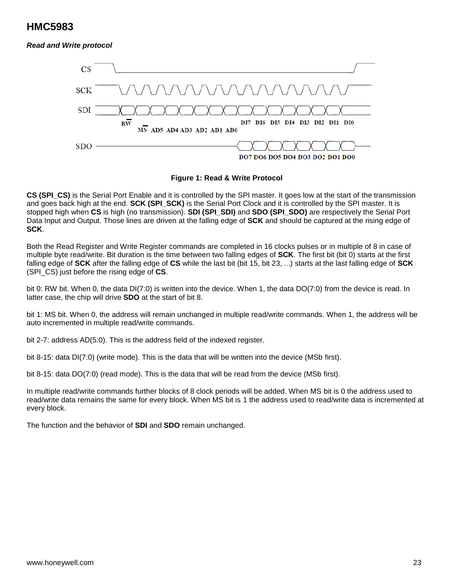#### *Read and Write protocol*



#### **Figure 1: Read & Write Protocol**

**CS (SPI\_CS)** is the Serial Port Enable and it is controlled by the SPI master. It goes low at the start of the transmission and goes back high at the end. **SCK (SPI SCK)** is the Serial Port Clock and it is controlled by the SPI master. It is stopped high when **CS** is high (no transmission). **SDI (SPI\_SDI)** and **SDO (SPI\_SDO)** are respectively the Serial Port Data Input and Output. Those lines are driven at the falling edge of **SCK** and should be captured at the rising edge of **SCK**.

Both the Read Register and Write Register commands are completed in 16 clocks pulses or in multiple of 8 in case of multiple byte read/write. Bit duration is the time between two falling edges of **SCK**. The first bit (bit 0) starts at the first falling edge of **SCK** after the falling edge of **CS** while the last bit (bit 15, bit 23, ...) starts at the last falling edge of **SCK** (SPI\_CS) just before the rising edge of **CS**.

bit 0: RW bit. When 0, the data DI(7:0) is written into the device. When 1, the data DO(7:0) from the device is read. In latter case, the chip will drive **SDO** at the start of bit 8.

bit 1: MS bit. When 0, the address will remain unchanged in multiple read/write commands. When 1, the address will be auto incremented in multiple read/write commands.

bit 2-7: address AD(5:0). This is the address field of the indexed register.

bit 8-15: data DI(7:0) (write mode). This is the data that will be written into the device (MSb first).

bit 8-15: data DO(7:0) (read mode). This is the data that will be read from the device (MSb first).

In multiple read/write commands further blocks of 8 clock periods will be added. When MS bit is 0 the address used to read/write data remains the same for every block. When MS bit is 1 the address used to read/write data is incremented at every block.

The function and the behavior of **SDI** and **SDO** remain unchanged.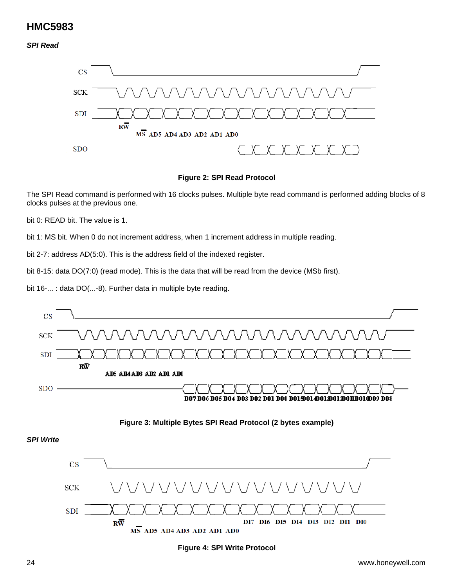#### *SPI Read*



#### **Figure 2: SPI Read Protocol**

The SPI Read command is performed with 16 clocks pulses. Multiple byte read command is performed adding blocks of 8 clocks pulses at the previous one.

bit 0: READ bit. The value is 1.

bit 1: MS bit. When 0 do not increment address, when 1 increment address in multiple reading.

bit 2-7: address AD(5:0). This is the address field of the indexed register.

bit 8-15: data DO(7:0) (read mode). This is the data that will be read from the device (MSb first).

bit 16-... : data DO(...-8). Further data in multiple byte reading.



#### **Figure 3: Multiple Bytes SPI Read Protocol (2 bytes example)**

*SPI Write*



#### **Figure 4: SPI Write Protocol**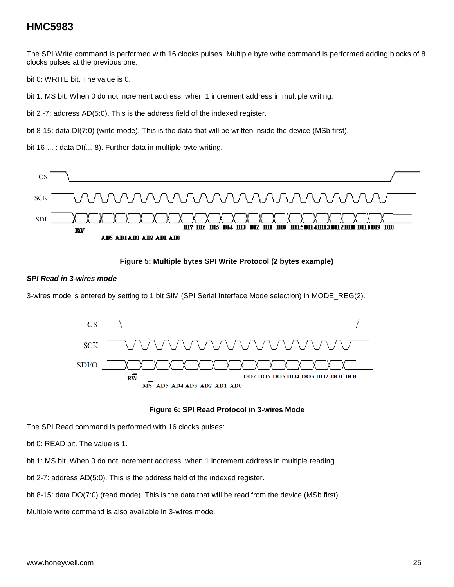The SPI Write command is performed with 16 clocks pulses. Multiple byte write command is performed adding blocks of 8 clocks pulses at the previous one.

bit 0: WRITE bit. The value is 0.

bit 1: MS bit. When 0 do not increment address, when 1 increment address in multiple writing.

bit 2 -7: address AD(5:0). This is the address field of the indexed register.

bit 8-15: data DI(7:0) (write mode). This is the data that will be written inside the device (MSb first).

bit 16-... : data DI(...-8). Further data in multiple byte writing.



#### **Figure 5: Multiple bytes SPI Write Protocol (2 bytes example)**

#### *SPI Read in 3-wires mode*

3-wires mode is entered by setting to 1 bit SIM (SPI Serial Interface Mode selection) in MODE\_REG(2).



#### **Figure 6: SPI Read Protocol in 3-wires Mode**

The SPI Read command is performed with 16 clocks pulses:

bit 0: READ bit. The value is 1.

bit 1: MS bit. When 0 do not increment address, when 1 increment address in multiple reading.

bit 2-7: address AD(5:0). This is the address field of the indexed register.

bit 8-15: data DO(7:0) (read mode). This is the data that will be read from the device (MSb first).

Multiple write command is also available in 3-wires mode.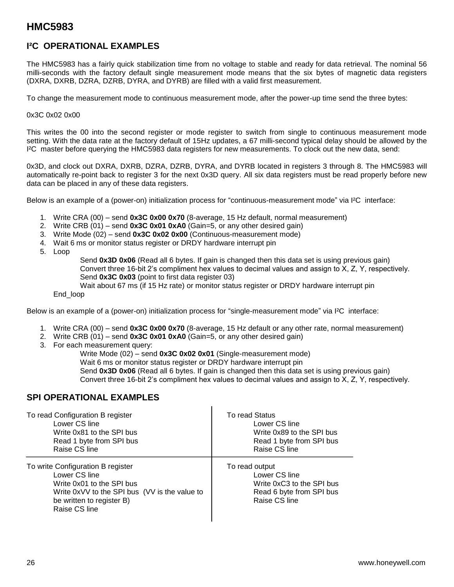### **I²C OPERATIONAL EXAMPLES**

The HMC5983 has a fairly quick stabilization time from no voltage to stable and ready for data retrieval. The nominal 56 milli-seconds with the factory default single measurement mode means that the six bytes of magnetic data registers (DXRA, DXRB, DZRA, DZRB, DYRA, and DYRB) are filled with a valid first measurement.

To change the measurement mode to continuous measurement mode, after the power-up time send the three bytes:

#### 0x3C 0x02 0x00

This writes the 00 into the second register or mode register to switch from single to continuous measurement mode setting. With the data rate at the factory default of 15Hz updates, a 67 milli-second typical delay should be allowed by the I²C master before querying the HMC5983 data registers for new measurements. To clock out the new data, send:

0x3D, and clock out DXRA, DXRB, DZRA, DZRB, DYRA, and DYRB located in registers 3 through 8. The HMC5983 will automatically re-point back to register 3 for the next 0x3D query. All six data registers must be read properly before new data can be placed in any of these data registers.

Below is an example of a (power-on) initialization process for "continuous-measurement mode" via I²C interface:

- 1. Write CRA (00) send **0x3C 0x00 0x70** (8-average, 15 Hz default, normal measurement)
- 2. Write CRB (01) send **0x3C 0x01 0xA0** (Gain=5, or any other desired gain)
- 3. Write Mode (02) send **0x3C 0x02 0x00** (Continuous-measurement mode)
- 4. Wait 6 ms or monitor status register or DRDY hardware interrupt pin
- 5. Loop

Send **0x3D 0x06** (Read all 6 bytes. If gain is changed then this data set is using previous gain) Convert three 16-bit 2's compliment hex values to decimal values and assign to X, Z, Y, respectively. Send **0x3C 0x03** (point to first data register 03) Wait about 67 ms (if 15 Hz rate) or monitor status register or DRDY hardware interrupt pin

End\_loop

Below is an example of a (power-on) initialization process for "single-measurement mode" via I²C interface:

- 1. Write CRA (00) send **0x3C 0x00 0x70** (8-average, 15 Hz default or any other rate, normal measurement)
- 2. Write CRB (01) send **0x3C 0x01 0xA0** (Gain=5, or any other desired gain)
- 3. For each measurement query:

Write Mode (02) – send **0x3C 0x02 0x01** (Single-measurement mode) Wait 6 ms or monitor status register or DRDY hardware interrupt pin Send **0x3D 0x06** (Read all 6 bytes. If gain is changed then this data set is using previous gain) Convert three 16-bit 2's compliment hex values to decimal values and assign to X, Z, Y, respectively.

### **SPI OPERATIONAL EXAMPLES**

| To read Configuration B register                                                                                                                                               | To read Status                                                                                            |
|--------------------------------------------------------------------------------------------------------------------------------------------------------------------------------|-----------------------------------------------------------------------------------------------------------|
| Lower CS line                                                                                                                                                                  | Lower CS line                                                                                             |
| Write 0x81 to the SPI bus                                                                                                                                                      | Write 0x89 to the SPI bus                                                                                 |
| Read 1 byte from SPI bus                                                                                                                                                       | Read 1 byte from SPI bus                                                                                  |
| Raise CS line                                                                                                                                                                  | Raise CS line                                                                                             |
| To write Configuration B register<br>Lower CS line<br>Write 0x01 to the SPI bus<br>Write 0xVV to the SPI bus (VV is the value to<br>be written to register B)<br>Raise CS line | To read output<br>Lower CS line<br>Write 0xC3 to the SPI bus<br>Read 6 byte from SPI bus<br>Raise CS line |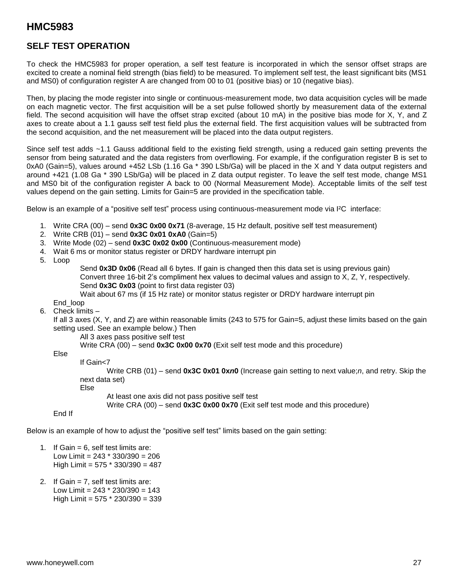### **SELF TEST OPERATION**

To check the HMC5983 for proper operation, a self test feature is incorporated in which the sensor offset straps are excited to create a nominal field strength (bias field) to be measured. To implement self test, the least significant bits (MS1 and MS0) of configuration register A are changed from 00 to 01 (positive bias) or 10 (negative bias).

Then, by placing the mode register into single or continuous-measurement mode, two data acquisition cycles will be made on each magnetic vector. The first acquisition will be a set pulse followed shortly by measurement data of the external field. The second acquisition will have the offset strap excited (about 10 mA) in the positive bias mode for X, Y, and Z axes to create about a 1.1 gauss self test field plus the external field. The first acquisition values will be subtracted from the second acquisition, and the net measurement will be placed into the data output registers.

Since self test adds ~1.1 Gauss additional field to the existing field strength, using a reduced gain setting prevents the sensor from being saturated and the data registers from overflowing. For example, if the configuration register B is set to 0xA0 (Gain=5), values around +452 LSb (1.16 Ga \* 390 LSb/Ga) will be placed in the X and Y data output registers and around +421 (1.08 Ga \* 390 LSb/Ga) will be placed in Z data output register. To leave the self test mode, change MS1 and MS0 bit of the configuration register A back to 00 (Normal Measurement Mode). Acceptable limits of the self test values depend on the gain setting. Limits for Gain=5 are provided in the specification table.

Below is an example of a "positive self test" process using continuous-measurement mode via I²C interface:

- 1. Write CRA (00) send **0x3C 0x00 0x71** (8-average, 15 Hz default, positive self test measurement)
- 2. Write CRB (01) send **0x3C 0x01 0xA0** (Gain=5)
- 3. Write Mode (02) send **0x3C 0x02 0x00** (Continuous-measurement mode)
- 4. Wait 6 ms or monitor status register or DRDY hardware interrupt pin

5. Loop

Send **0x3D 0x06** (Read all 6 bytes. If gain is changed then this data set is using previous gain) Convert three 16-bit 2's compliment hex values to decimal values and assign to X, Z, Y, respectively. Send **0x3C 0x03** (point to first data register 03)

Wait about 67 ms (if 15 Hz rate) or monitor status register or DRDY hardware interrupt pin

End\_loop

6. Check limits –

If all 3 axes (X, Y, and Z) are within reasonable limits (243 to 575 for Gain=5, adjust these limits based on the gain setting used. See an example below.) Then

All 3 axes pass positive self test

Write CRA (00) – send **0x3C 0x00 0x70** (Exit self test mode and this procedure)

Else

If Gain<7

Write CRB (01) – send **0x3C 0x01 0x***n***0** (Increase gain setting to next value;*n*, and retry. Skip the next data set)

Else

At least one axis did not pass positive self test

Write CRA (00) – send **0x3C 0x00 0x70** (Exit self test mode and this procedure)

End If

Below is an example of how to adjust the "positive self test" limits based on the gain setting:

- 1. If Gain  $= 6$ , self test limits are: Low Limit =  $243 * 330/390 = 206$ High Limit = 575 \* 330/390 = 487
- 2. If Gain = 7, self test limits are: Low Limit =  $243 * 230/390 = 143$ High Limit = 575 \* 230/390 = 339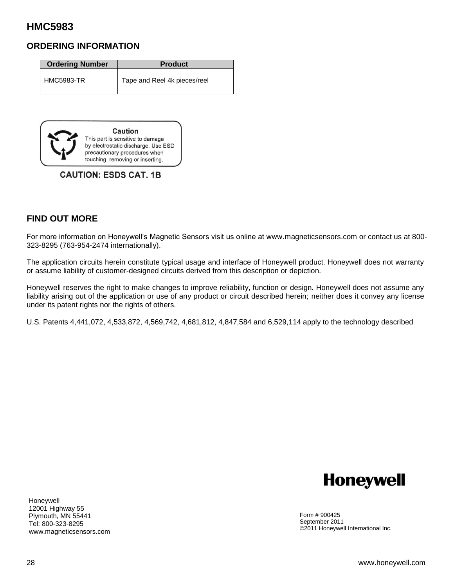### **ORDERING INFORMATION**

| <b>Ordering Number</b> | <b>Product</b>               |
|------------------------|------------------------------|
| <b>HMC5983-TR</b>      | Tape and Reel 4k pieces/reel |



**CAUTION: ESDS CAT. 1B** 

### **FIND OUT MORE**

For more information on Honeywell's Magnetic Sensors visit us online at www.magneticsensors.com or contact us at 800- 323-8295 (763-954-2474 internationally).

The application circuits herein constitute typical usage and interface of Honeywell product. Honeywell does not warranty or assume liability of customer-designed circuits derived from this description or depiction.

Honeywell reserves the right to make changes to improve reliability, function or design. Honeywell does not assume any liability arising out of the application or use of any product or circuit described herein; neither does it convey any license under its patent rights nor the rights of others.

U.S. Patents 4,441,072, 4,533,872, 4,569,742, 4,681,812, 4,847,584 and 6,529,114 apply to the technology described



Honeywell 12001 Highway 55 Plymouth, MN 55441 Tel: 800-323-8295 www.magneticsensors.com

Form # 900425 September 2011 ©2011 Honeywell International Inc.